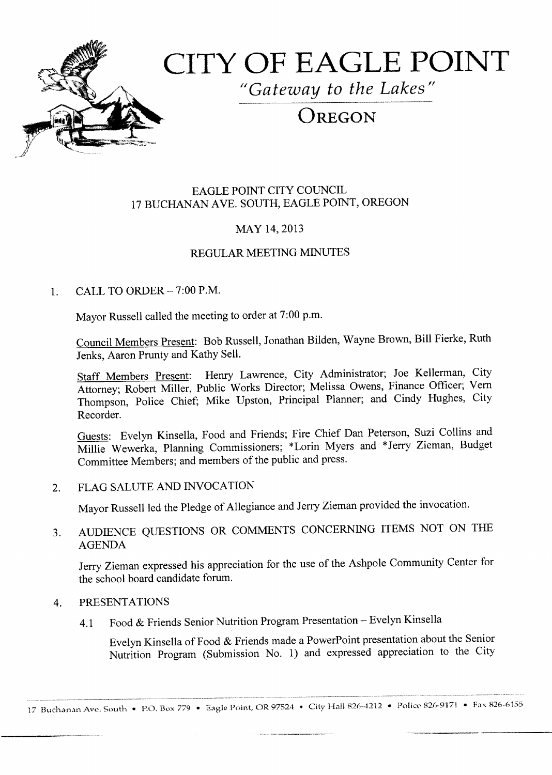

# CITY OF EAGLE POINT

"Gateway to the Lakes"

# OREGON

#### EAGLE POINT CITY COUNCIL 17 BUCHANAN AVE. SOUTH, EAGLE POINT, OREGON

#### MAY 14, 2013

#### REGULAR MEETING MINUTES

#### 1. CALL TO ORDER  $-7:00$  P.M.

Mayor Russell called the meeting to order at 7:00 p.m.

Council Members Present: Bob Russell, Jonathan Bilden, Wayne Brown, Bill Fierke, Ruth Jenks, Aaron Prunty and Kathy Sell.

Staff Members Present: Henry Lawrence, City Administrator; Joe Kellerman, City Attorney; Robert Miller, Public Works Director; Melissa Owens, Finance Officer; Vern Thompson, Police Chief; Mike Upston, Principal Planner; and Cindy Hughes, City Recorder.

Guests: Evelyn Kinsella, Food and Friends; Fire Chief Dan Peterson, Suzi Collins and Millie Wewerka, Planning Commissioners; \* Lorin Myers and \* Jerry Zieman, Budget Committee Members; and members of the public and press.

#### 2. FLAG SALUTE AND INVOCATION

Mayor Russell led the Pledge of Allegiance and Jerry Zieman provided the invocation.

### 3. AUDIENCE QUESTIONS OR COMMENTS CONCERNING ITEMS NOT ON THE AGENDA

Jerry Zieman expressed his appreciation for the use of the Ashpole Community Center for the school board candidate forum.

#### 4. PRESENTATIONS

4.1 Food & Friends Senior Nutrition Program Presentation - Evelyn Kinsella

Evelyn Kinsella of Food & Friends made <sup>a</sup> PowerPoint presentation about the Senior Nutrition Program (Submission No. 1) and expressed appreciation to the City

17 Buchanan Ave. South • P.O. Box 779 • Eagle Point, OR 97524 • City Hall 826-4212 • Police 826-9171 • Fax 826-6155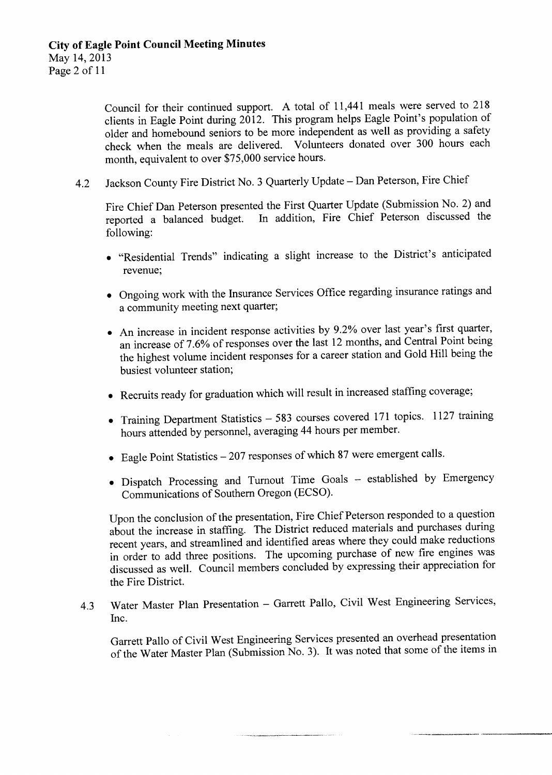Council for their continued support. A total of 11, <sup>441</sup> meals were served to 218 clients in Eagle Point during  $2012$ . This program helps Eagle Point's population of older and homebound seniors to be more independent as well as providing a safety check when the meals are delivered. Volunteers donated over 300 hours each month, equivalent to over \$75, 000 service hours.

4.2 Jackson County Fire District No. 3 Quarterly Update - Dan Peterson, Fire Chief

Fire Chief Dan Peterson presented the First Quarter Update (Submission No. 2) and reported a balanced budget. In addition, Fire Chief Peterson discussed the In addition, Fire Chief Peterson discussed the following:

- "Residential Trends" indicating a slight increase to the District's anticipated revenue;
- Ongoing work with the Insurance Services Office regarding insurance ratings and a community meeting next quarter;
- An increase in incident response activities by 9.2% over last year's first quarter, an increase of 7. 6% of responses over the last <sup>12</sup> months, and Central Point being the highest volume incident responses for <sup>a</sup> career station and Gold Hill being the busiest volunteer station;
- Recruits ready for graduation which will result in increased staffing coverage;
- Training Department Statistics <sup>583</sup> courses covered <sup>171</sup> topics. <sup>1127</sup> training hours attended by personnel, averaging 44 hours per member.
- Eagle Point Statistics—207 responses of which <sup>87</sup> were emergent calls.
- Dispatch Processing and Turnout Time Goals established by Emergency Communications of Southern Oregon( ECSO).

Upon the conclusion of the presentation, Fire Chief Peterson responded to <sup>a</sup> question about the increase in staffing. The District reduced materials and purchases during recent years, and streamlined and identified areas where they could make reductions in order to add three positions. The upcoming purchase of new fire engines was discussed as well. Council members concluded by expressing their appreciation for the Fire District.

4. <sup>3</sup> Water Master Plan Presentation — Garrett Pallo, Civil West Engineering Services, Inc.

Garrett Pallo of Civil West Engineering Services presented an overhead presentation of the Water Master Plan ( Submission No. 3). It was noted that some of the items in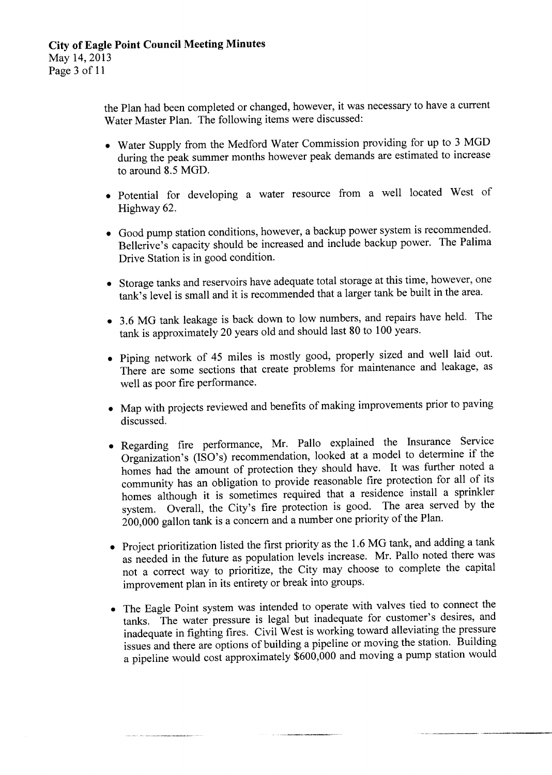the Plan had been completed or changed, however, it was necessary to have <sup>a</sup> current Water Master Plan. The following items were discussed:

- Water Supply from the Medford Water Commission providing for up to <sup>3</sup> MGD during the peak summer months however peak demands are estimated to increase to around 8.5 MGD.
- Potential for developing a water resource from a well located West of Highway 62.
- Good pump station conditions, however, a backup power system is recommended. Bellerive's capacity should be increased and include backup power. The Palima Drive Station is in good condition.
- Storage tanks and reservoirs have adequate total storage at this time, however, one tank's level is small and it is recommended that a larger tank be built in the area.
- 3.6 MG tank leakage is back down to low numbers, and repairs have held. The tank is approximately 20 years old and should last 80 to 100 years.
- Piping network of 45 miles is mostly good, properly sized and well laid out. There are some sections that create problems for maintenance and leakage, as well as poor fire performance.
- Map with projects reviewed and benefits of making improvements prior to paving discussed.
- Regarding fire performance, Mr. Pallo explained the Insurance Service Organization's ( $1SO's$ ) recommendation, looked at a model to determine if the homes had the amount of protection they should have. It was further noted <sup>a</sup> community has an obligation to provide reasonable fire protection for all of its homes although it is sometimes required that a residence install a sprinkler system. Overall, the City's fire protection is good. The area served by the 200,000 gallon tank is a concern and a number one priority of the Plan.
- Project prioritization listed the first priority as the 1.6 MG tank, and adding a tank as needed in the future as population levels increase. Mr. Pallo noted there was not a correct way to prioritize, the City may choose to complete the capital improvement plan in its entirety or break into groups.
- The Eagle Point system was intended to operate with valves tied to connect the tanks. The water pressure is legal but inadequate for customer's desires, and inadequate in fighting fires. Civil West is working toward alleviating the pressure issues and there are options of building <sup>a</sup> pipeline or moving the station. Building a pipeline would cost approximately  $\frac{600,000}{600}$  and moving a pump station would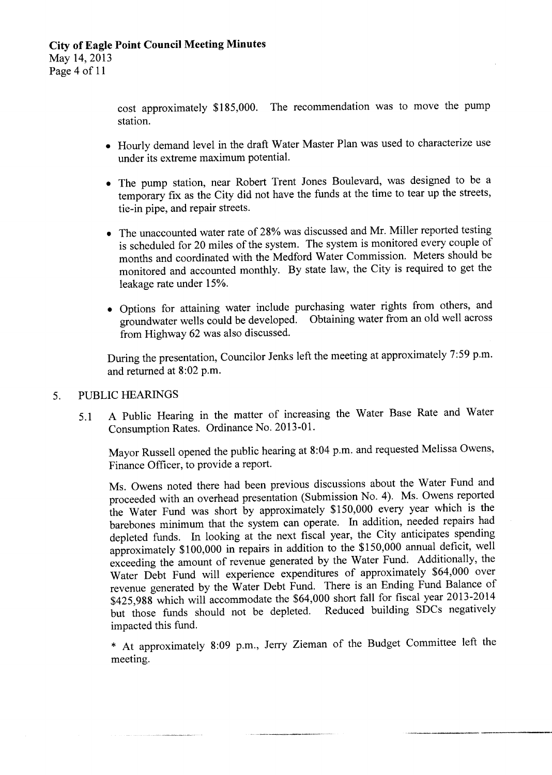cost approximately \$185,000. The recommendation was to move the pump station.

- Hourly demand level in the draft Water Master Plan was used to characterize use under its extreme maximum potential.
- The pump station, near Robert Trent Jones Boulevard, was designed to be a temporary fix as the City did not have the funds at the time to tear up the streets, tie-in pipe, and repair streets.
- The unaccounted water rate of 28% was discussed and Mr. Miller reported testing is scheduled for 20 miles of the system. The system is monitored every couple of months and coordinated with the Medford Water Commission. Meters should be monitored and accounted monthly. By state law, the City is required to get the leakage rate under 15%.
- Options for attaining water include purchasing water rights from others, and groundwater wells could be developed. Obtaining water from an old well across from Highway 62 was also discussed.

During the presentation, Councilor Jenks left the meeting at approximately 7:59 p.m. and returned at 8:02 p.m.

#### 5. PUBLIC HEARINGS

5. <sup>1</sup> A Public Hearing in the matter of increasing the Water Base Rate and Water Consumption Rates. Ordinance No. 2013-01.

Mayor Russell opened the public hearing at 8:04 p.m. and requested Melissa Owens, Finance Officer, to provide <sup>a</sup> report.

Ms. Owens noted there had been previous discussions about the Water Fund and proceeded with an overhead presentation (Submission No. 4). Ms. Owens reported the Water Fund was short by approximately \$ 150,000 every year which is the barebones minimum that the system can operate. In addition, needed repairs had depleted funds. In looking at the next fiscal year, the City anticipates spending approximately \$ 100, <sup>000</sup> in repairs in addition to the \$ 150, <sup>000</sup> annual deficit, well exceeding the amount of revenue generated by the Water Fund. Additionally, the Water Debt Fund will experience expenditures of approximately \$64,000 over revenue generated by the Water Debt Fund. There is an Ending Fund Balance of \$425,988 which will accommodate the \$64,000 short fall for fiscal year 2013-2014 but those funds should not be depleted. Reduced building SDCs negatively impacted this fund.

At approximately 8: 09 p.m., Jerry Zieman of the Budget Committee left the meeting.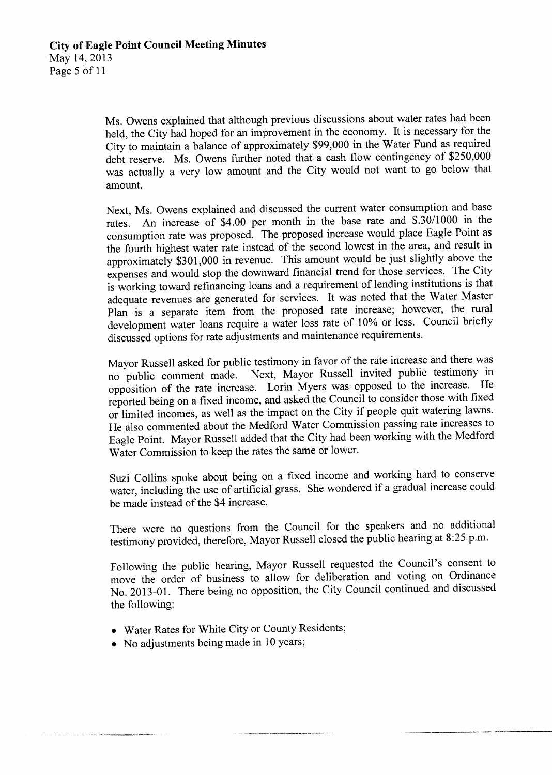Ms. Owens explained that although previous discussions about water rates had been held, the City had hoped for an improvement in the economy. It is necessary for the City to maintain <sup>a</sup> balance of approximately \$99,000 in the Water Fund as required debt reserve. Ms. Owens further noted that <sup>a</sup> cash flow contingency of \$250,000 was actually a very low amount and the City would not want to go below that amount.

Next, Ms. Owens explained and discussed the current water consumption and base rates. An increase of \$4.00 per month in the base rate and \$.30/1000 in the consumption rate was proposed. The proposed increase would place Eagle Point as the fourth highest water rate instead of the second lowest in the area, and result in approximately \$301, <sup>000</sup> in revenue. This amount would be just slightly above the expenses and would stop the downward financial trend for those services. The City is working toward refinancing loans and <sup>a</sup> requirement of lending institutions is that adequate revenues are generated for services. It was noted that the Water Master Plan is <sup>a</sup> separate item from the proposed rate increase; however, the rural development water loans require <sup>a</sup> water loss rate of 10% or less. Council briefly discussed options for rate adjustments and maintenance requirements.

Mayor Russell asked for public testimony in favor of the rate increase and there was no public comment made. Next, Mayor Russell invited public testimony in Next, Mayor Russell invited public testimony in opposition of the rate increase. Lorin Myers was opposed to the increase. He reported being on a fixed income, and asked the Council to consider those with fixed or limited incomes, as well as the impact on the City if people quit watering lawns. He also commented about the Medford Water Commission passing rate increases to Eagle Point. Mayor Russell added that the City had been working with the Medford Water Commission to keep the rates the same or lower.

Suzi Collins spoke about being on a fixed income and working hard to conserve water, including the use of artificial grass. She wondered if <sup>a</sup> gradual increase could be made instead of the \$4 increase.

There were no questions from the Council for the speakers and no additional testimony provided, therefore, Mayor Russell closed the public hearing at 8:25 p.m.

Following the public hearing, Mayor Russell requested the Council's consent to move the order of business to allow for deliberation and voting on Ordinance No. 2013-01. There being no opposition, the City Council continued and discussed the following:

- Water Rates for White City or County Residents;
- No adjustments being made in 10 years;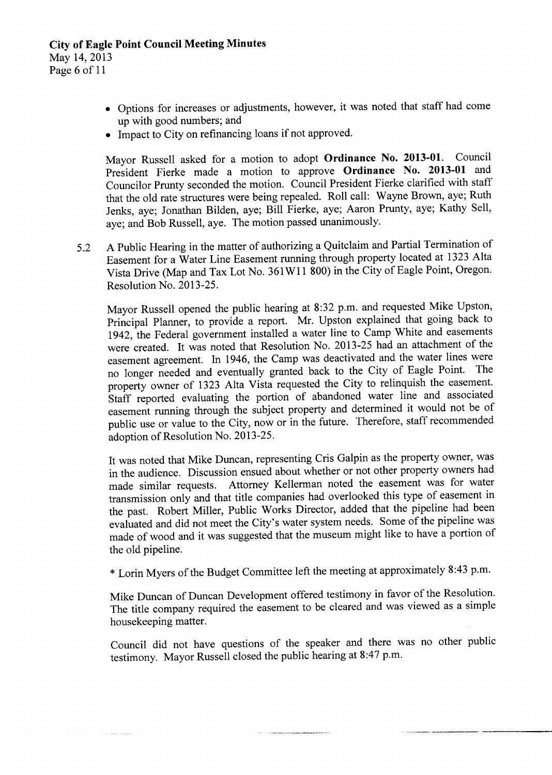May 14, 2013

- Page <sup>6</sup> of <sup>11</sup>
	- Options for increases or adjustments, however, it was noted that staff had come up with good numbers; and
	- Impact to City on refinancing loans if not approved.

Mayor Russell asked for a motion to adopt Ordinance No. 2013-01. Council President Fierke made a motion to approve Ordinance No. 2013-01 and Councilor Prunty seconded the motion. Council President Fierke clarified with staff that the old rate structures were being repealed. Roll call: Wayne Brown, aye; Ruth Jenks, aye; Jonathan Bilden, aye; Bill Fierke, aye; Aaron Prunty, aye; Kathy Sell, aye; and Bob Russell, aye. The motion passed unanimously.

5.2 A Public Hearing in the matter of authorizing a Quitclaim and Partial Termination of Easement for a Water Line Easement running through property located at 1323 Alta Vista Drive (Map and Tax Lot No. 361W1 <sup>1</sup> 800) in the City of Eagle Point, Oregon. Resolution No. 2013-25.

Mayor Russell opened the public hearing at 8:32 p.m. and requested Mike Upston, Principal Planner, to provide <sup>a</sup> report. Mr. Upston explained that going back to 1942, the Federal government installed a water line to Camp White and easements were created. It was noted that Resolution No. 2013-25 had an attachment of the easement agreement. In 1946, the Camp was deactivated and the water lines were no longer needed and eventually granted back to the City of Eagle Point. The property owner of 1323 Alta Vista requested the City to relinquish the easement. Staff reported evaluating the portion of abandoned water line and associated easement running through the subject property and determined it would not be of public use or value to the City, now or in the future. Therefore, staff recommended adoption of Resolution No. 2013-25.

It was noted that Mike Duncan, representing Cris Galpin as the property owner, was in the audience. Discussion ensued about whether or not other property owners had made similar requests. Attorney Kellerman noted the easement was for water transmission only and that title companies had overlooked this type of easement in the past. Robert Miller, Public Works Director, added that the pipeline had been evaluated and did not meet the City's water system needs. Some of the pipeline was made of wood and it was suggested that the museum might like to have <sup>a</sup> portion of the old pipeline.

\* Lorin Myers of the Budget Committee left the meeting at approximately 8:43 p.m.

Mike Duncan of Duncan Development offered testimony in favor of the Resolution. The title company required the easement to be cleared and was viewed as a simple housekeeping matter.

Council did not have questions of the speaker and there was no other public testimony. Mayor Russell closed the public hearing at 8:47 p.m.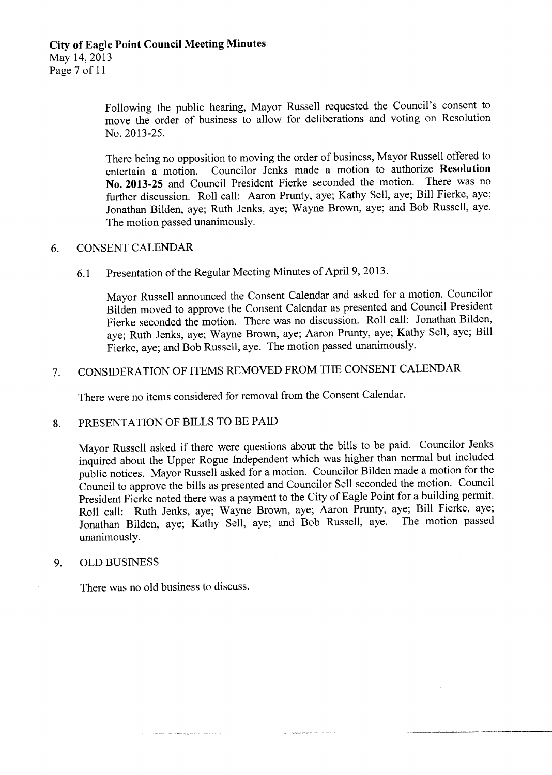Page <sup>7</sup> of <sup>11</sup>

Following the public hearing, Mayor Russell requested the Council's consent to move the order of business to allow for deliberations and voting on Resolution No. 2013-25.

There being no opposition to moving the order of business, Mayor Russell offered to entertain a motion. Councilor Jenks made a motion to authorize Resolution Councilor Jenks made a motion to authorize Resolution No. 2013-25 and Council President Fierke seconded the motion. There was no further discussion. Roll call: Aaron Prunty, aye; Kathy Sell, aye; Bill Fierke, aye; Jonathan Bilden, aye; Ruth Jenks, aye; Wayne Brown, aye; and Bob Russell, aye. The motion passed unanimously.

#### 6. CONSENT CALENDAR

6. <sup>1</sup> Presentation of the Regular Meeting Minutes of April 9, 2013.

Mayor Russell announced the Consent Calendar and asked for a motion. Councilor Bilden moved to approve the Consent Calendar as presented and Council President Fierke seconded the motion. There was no discussion. Roll call: Jonathan Bilden, aye; Ruth Jenks, aye; Wayne Brown, aye; Aaron Prunty, aye; Kathy Sell, aye; Bill Fierke, aye; and Bob Russell, aye. The motion passed unanimously.

## 7. CONSIDERATION OF ITEMS REMOVED FROM THE CONSENT CALENDAR

There were no items considered for removal from the Consent Calendar.

#### 8. PRESENTATION OF BILLS TO BE PAID

Mayor Russell asked if there were questions about the bills to be paid. Councilor Jenks inquired about the Upper Rogue Independent which was higher than normal but included public notices. Mayor Russell asked for <sup>a</sup> motion. Councilor Bilden made a motion for the Council to approve the bills as presented and Councilor Sell seconded the motion. Council President Fierke noted there was a payment to the City of Eagle Point for a building permit. Roll call: Ruth Jenks, aye; Wayne Brown, aye; Aaron Prunty, aye; Bill Fierke, aye; Jonathan Bilden, aye; Kathy Sell, aye; and Bob Russell, aye. The motion passed unanimously.

#### 9. OLD BUSINESS

There was no old business to discuss.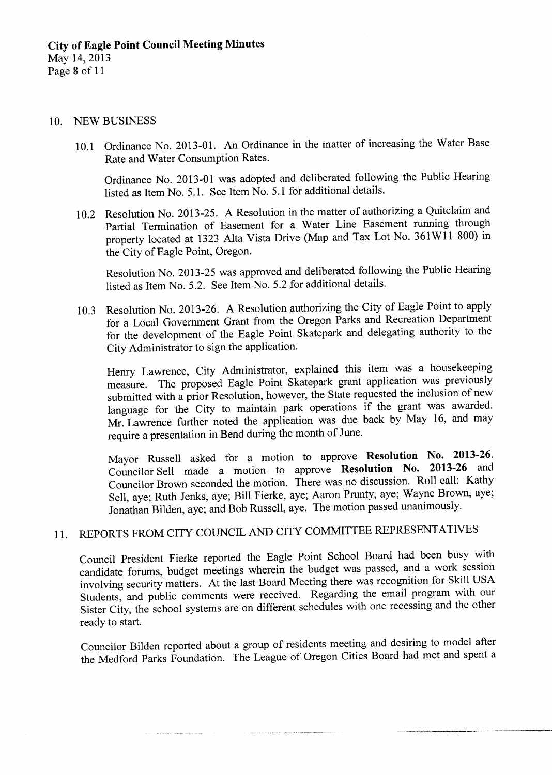#### 10. NEW BUSINESS

10.1 Ordinance No. 2013-01. An Ordinance in the matter of increasing the Water Base Rate and Water Consumption Rates.

Ordinance No. 2013-01 was adopted and deliberated following the Public Hearing listed as Item No. 5.1. See Item No. 5.1 for additional details.

10.2 Resolution No. 2013-25. A Resolution in the matter of authorizing a Quitclaim and Partial Termination of Easement for <sup>a</sup> Water Line Easement running through property located at 1323 Alta Vista Drive (Map and Tax Lot No. 361W11 800) in the City of Eagle Point, Oregon.

Resolution No. 2013-25 was approved and deliberated following the Public Hearing listed as Item No. 5.2. See Item No. 5.2 for additional details.

10.3 Resolution No. 2013-26. A Resolution authorizing the City of Eagle Point to apply for a Local Government Grant from the Oregon Parks and Recreation Department for the development of the Eagle Point Skatepark and delegating authority to the City Administrator to sign the application.

Henry Lawrence, City Administrator, explained this item was <sup>a</sup> housekeeping measure. The proposed Eagle Point Skatepark grant application was previously submitted with a prior Resolution, however, the State requested the inclusion of new language for the City to maintain park operations if the grant was awarded. Mr. Lawrence further noted the application was due back by May 16, and may require <sup>a</sup> presentation in Bend during the month of June.

Mayor Russell asked for a motion to approve Resolution No. 2013-26. Councilor Sell made a motion to approve Resolution No. 2013-26 and Councilor Brown seconded the motion. There was no discussion. Roll call: Kathy Sell, aye; Ruth Jenks, aye; Bill Fierke, aye; Aaron Prunty, aye; Wayne Brown, aye; Jonathan Bilden, aye; and Bob Russell, aye. The motion passed unanimously.

# 11. REPORTS FROM CITY COUNCIL AND CITY COMMITTEE REPRESENTATIVES

Council President Fierke reported the Eagle Point School Board had been busy with candidate forums, budget meetings wherein the budget was passed, and a work session involving security matters. At the last Board Meeting there was recognition for Skill USA Students, and public comments were received. Regarding the email program with our Sister City, the school systems are on different schedules with one recessing and the other ready to start.

Councilor Bilden reported about <sup>a</sup> group of residents meeting and desiring to model after the Medford Parks Foundation. The League of Oregon Cities Board had met and spent <sup>a</sup>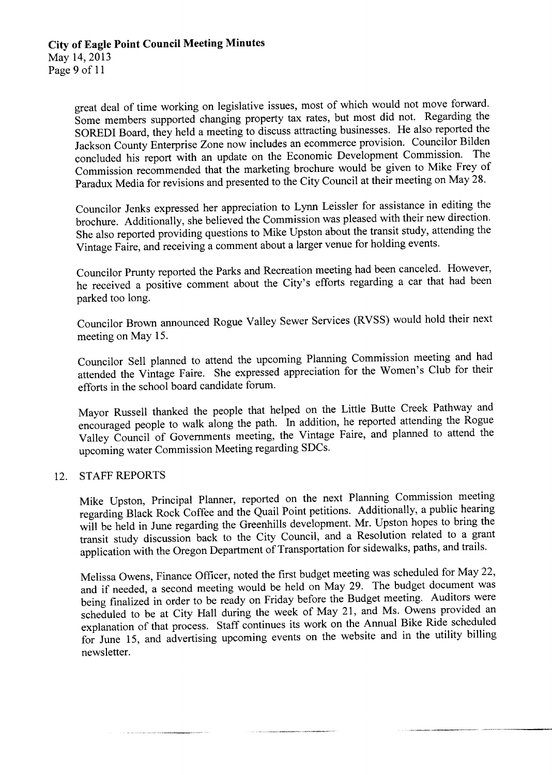great deal of time working on legislative issues, most of which would not move forward. Some members supported changing property tax rates, but most did not. Regarding the SOREDI Board, they held <sup>a</sup> meeting to discuss attracting businesses. He also reported the Jackson County Enterprise Zone now includes an ecommerce provision. Councilor Bilden concluded his report with an update on the Economic Development Commission. The Commission recommended that the marketing brochure would be given to Mike Frey of Paradux Media for revisions and presented to the City Council at their meeting on May 28.

Councilor Jenks expressed her appreciation to Lynn Leissler for assistance in editing the brochure. Additionally, she believed the Commission was pleased with their new direction. She also reported providing questions to Mike Upston about the transit study, attending the Vintage Faire, and receiving a comment about a larger venue for holding events.

Councilor Prunty reported the Parks and Recreation meeting had been canceled. However, he received a positive comment about the City's efforts regarding a car that had been parked too long.

Councilor Brown announced Rogue Valley Sewer Services ( RVSS) would hold their next meeting on May 15.

Councilor Sell planned to attend the upcoming Planning Commission meeting and had attended the Vintage Faire. She expressed appreciation for the Women's Club for their efforts in the school board candidate forum.

Mayor Russell thanked the people that helped on the Little Butte Creek Pathway and encouraged people to walk along the path. In addition, he reported attending the Rogue Valley Council of Governments meeting, the Vintage Faire, and planned to attend the upcoming water Commission Meeting regarding SDCs.

#### 12. STAFF REPORTS

Mike Upston, Principal Planner, reported on the next Planning Commission meeting regarding Black Rock Coffee and the Quail Point petitions. Additionally, a public hearing will be held in June regarding the Greenhills development. Mr. Upston hopes to bring the transit study discussion back to the City Council, and a Resolution related to a grant application with the Oregon Department of Transportation for sidewalks, paths, and trails.

Melissa Owens, Finance Officer, noted the first budget meeting was scheduled for May 22, and if needed, <sup>a</sup> second meeting would be held on May 29. The budget document was being finalized in order to be ready on Friday before the Budget meeting. Auditors were scheduled to be at City Hall during the week of May 21, and Ms. Owens provided an explanation of that process. Staff continues its work on the Annual Bike Ride scheduled for June 15, and advertising upcoming events on the website and in the utility billing newsletter.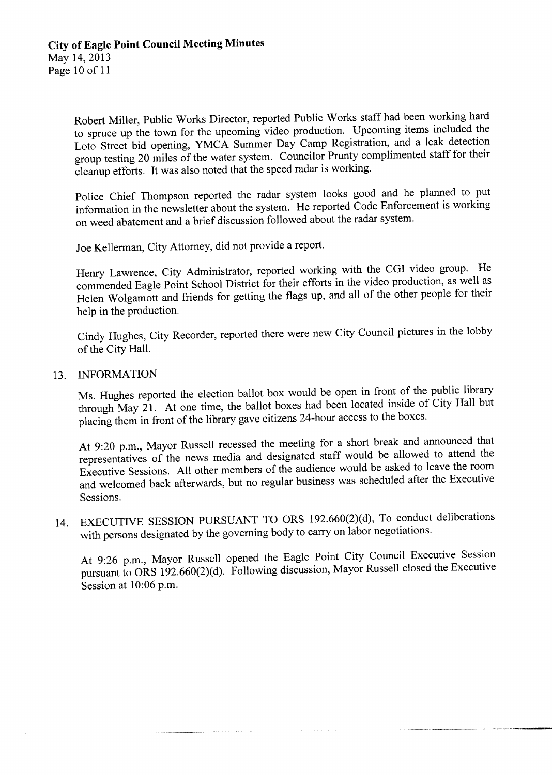Robert Miller, Public Works Director, reported Public Works staff had been working hard to spruce up the town for the upcoming video production. Upcoming items included the Loto Street bid opening, YMCA Summer Day Camp Registration, and a leak detection group testing <sup>20</sup> miles of the water system. Councilor Prunty complimented staff for their cleanup efforts. It was also noted that the speed radar is working.

Police Chief Thompson reported the radar system looks good and he planned to put information in the newsletter about the system. He reported Code Enforcement is working on weed abatement and a brief discussion followed about the radar system.

Joe Kellerman, City Attorney, did not provide a report.

Henry Lawrence, City Administrator, reported working with the CGI video group. He commended Eagle Point School District for their efforts in the video production, as well as Helen Wolgamott and friends for getting the flags up, and all of the other people for their help in the production.

Cindy Hughes, City Recorder, reported there were new City Council pictures in the lobby of the City Hall.

#### 13. INFORMATION

Ms. Hughes reported the election ballot box would be open in front of the public library through May 21. At one time, the ballot boxes had been located inside of City Hall but placing them in front of the library gave citizens 24-hour access to the boxes.

At 9:20 p.m., Mayor Russell recessed the meeting for a short break and announced that representatives of the news media and designated staff would be allowed to attend the Executive Sessions. All other members of the audience would be asked to leave the room and welcomed back afterwards, but no regular business was scheduled after the Executive Sessions.

14. EXECUTIVE SESSION PURSUANT TO ORS 192.660(2)(d), To conduct deliberations with persons designated by the governing body to carry on labor negotiations.

At 9:26 p.m., Mayor Russell opened the Eagle Point City Council Executive Session pursuant to ORS 192.660(2)(d). Following discussion, Mayor Russell closed the Executive Session at 10:06 p.m.